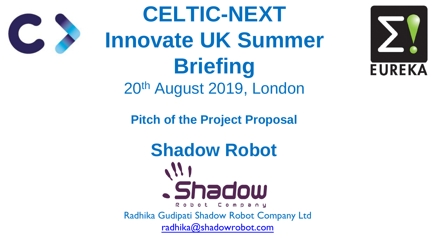**Pitch of the Project Proposal**

**Shadow Robot**

**CELTIC-NEXT Innovate UK Summer Briefing** 20th August 2019, London

. Shadow Robot Company Radhika Gudipati Shadow Robot Company Ltd [radhika@shadowrobot.com](mailto:FablabLondonVRradhika@shadowrobot.com)



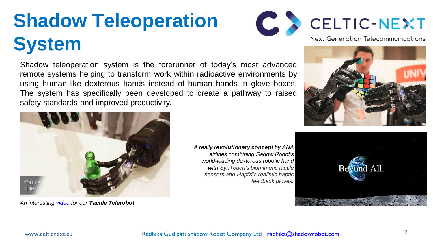# **Shadow Teleoperation System**

Shadow teleoperation system is the forerunner of today's most advanced remote systems helping to transform work within radioactive environments by using human-like dexterous hands instead of human hands in glove boxes. The system has specifically been developed to create a pathway to raised safety standards and improved productivity.



*An interesting [video](https://www.shadowrobot.com/telerobots/) for our Tactile Telerobot.*

*A really revolutionary concept by ANA airlines combining Sadow Robot's world-leading dexterous robotic hand with SynTouch's biomimetic tactile sensors and HaptX's realistic haptic feedback gloves.*







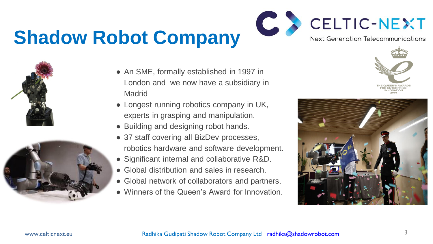## **Shadow Robot Company**





- An SME, formally established in 1997 in London and we now have a subsidiary in **Madrid**
- Longest running robotics company in UK, experts in grasping and manipulation.
- Building and designing robot hands.
- 37 staff covering all BizDev processes, robotics hardware and software development.
- Significant internal and collaborative R&D.
- Global distribution and sales in research.
- Global network of collaborators and partners. ● Winners of the Queen's Award for Innovation.
- 





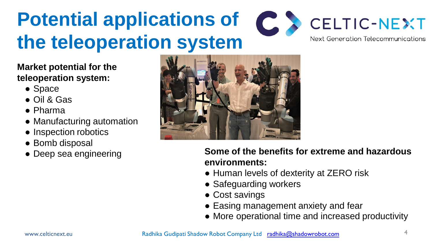- Space
- Oil & Gas
- Pharma
- Manufacturing automation
- Inspection robotics
- Bomb disposal
- Deep sea engineering





#### **Potential applications of**  CELTIC-NEXT **the teleoperation system** Next Generation Telecommunications

#### **Market potential for the teleoperation system:**

- Human levels of dexterity at ZERO risk
- Safeguarding workers
- Cost savings
- Easing management anxiety and fear
- More operational time and increased productivity

**Some of the benefits for extreme and hazardous environments:**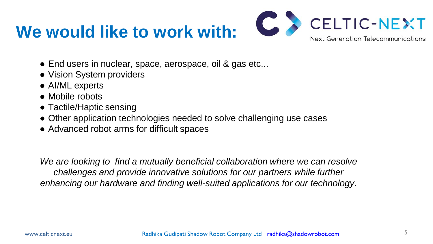#### **We would like to work with:**



- End users in nuclear, space, aerospace, oil & gas etc...
- Vision System providers
- AI/ML experts
- Mobile robots
- Tactile/Haptic sensing
- Other application technologies needed to solve challenging use cases
- Advanced robot arms for difficult spaces

We are looking to find a mutually beneficial collaboration where we can resolve challenges and provide innovative solutions for our partners while further *enhancing our hardware and finding well-suited applications for our technology.*



www.celticnext.eu **Radhika Gudipati Shadow Robot Company Ltd** [radhika@shadowrobot.com](mailto:FablabLondonVRradhika@shadowrobot.com)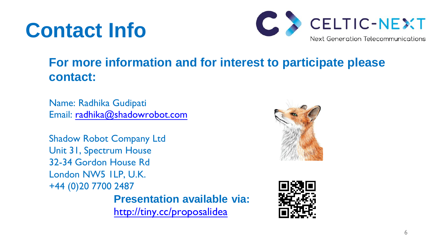## **Contact Info**

#### **For more information and for interest to participate please**





Shadow Robot Company Ltd Unit 31, Spectrum House 32-34 Gordon House Rd London NW5 1LP, U.K. +44 (0)20 7700 2487 **Presentation available via:** [http://tiny.cc/proposalidea](http://tiny.cc/projectidea)



**contact:**

Name: Radhika Gudipati Email: [radhika@shadowrobot.com](mailto:radhika@shadowrobot.com)